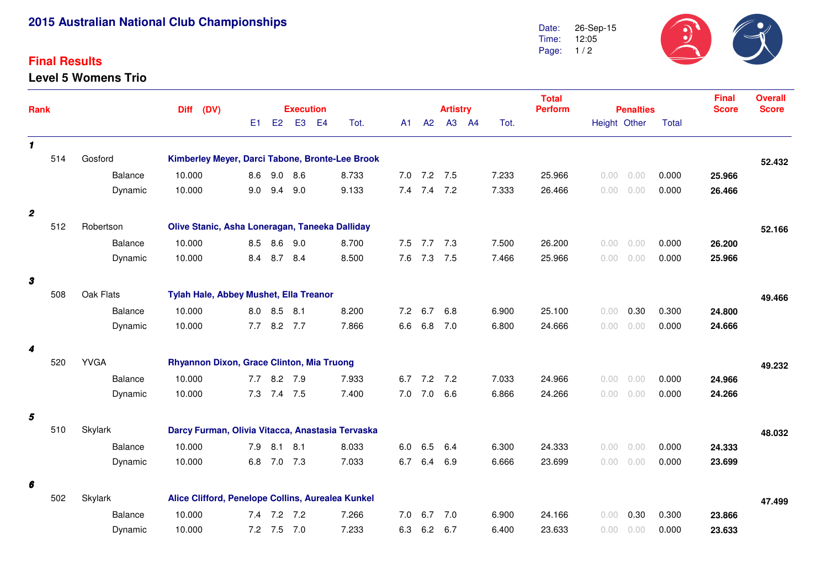## **2015 Australian National Club Championships**

## **Final Results**

**Level 5 Womens Trio**



| Rank             |     |                | (DV)<br><b>Diff</b>                             |                                                   | <b>Execution</b>                               |                |                        |     |             | <b>Artistry</b> |  |       | <b>Total</b><br><b>Perform</b> | <b>Penalties</b> |              |       | <b>Final</b><br><b>Score</b> | <b>Overall</b><br><b>Score</b> |
|------------------|-----|----------------|-------------------------------------------------|---------------------------------------------------|------------------------------------------------|----------------|------------------------|-----|-------------|-----------------|--|-------|--------------------------------|------------------|--------------|-------|------------------------------|--------------------------------|
|                  |     |                |                                                 | E1                                                | E2                                             | E <sub>3</sub> | E <sub>4</sub><br>Tot. | A1  | A2          | A3 A4           |  | Tot.  |                                |                  | Height Other | Total |                              |                                |
| $\mathbf{1}$     |     |                |                                                 |                                                   |                                                |                |                        |     |             |                 |  |       |                                |                  |              |       |                              |                                |
|                  | 514 | Gosford        | Kimberley Meyer, Darci Tabone, Bronte-Lee Brook |                                                   |                                                |                |                        |     |             |                 |  |       |                                |                  |              |       |                              | 52.432                         |
|                  |     | Balance        | 10.000                                          | 8.6                                               |                                                | $9.0$ 8.6      | 8.733                  |     | $7.0$ $7.2$ | 7.5             |  | 7.233 | 25.966                         | 0.00             | 0.00         | 0.000 | 25.966                       |                                |
|                  |     | Dynamic        | 10.000                                          | 9.0                                               |                                                | $9.4$ $9.0$    | 9.133                  |     | $7.4$ $7.4$ | 7.2             |  | 7.333 | 26.466                         | 0.00             | 0.00         | 0.000 | 26.466                       |                                |
| $\boldsymbol{2}$ |     |                |                                                 |                                                   |                                                |                |                        |     |             |                 |  |       |                                |                  |              |       |                              |                                |
|                  | 512 | Robertson      |                                                 |                                                   | Olive Stanic, Asha Loneragan, Taneeka Dalliday |                |                        |     |             |                 |  |       |                                |                  | 52.166       |       |                              |                                |
|                  |     | <b>Balance</b> | 10.000                                          |                                                   | 8.5 8.6 9.0                                    |                | 8.700                  | 7.5 | 7.7         | 7.3             |  | 7.500 | 26.200                         | 0.00             | 0.00         | 0.000 | 26.200                       |                                |
|                  |     | Dynamic        | 10.000                                          | 8.4                                               |                                                | 8.7 8.4        | 8.500                  | 7.6 | 7.3         | 7.5             |  | 7.466 | 25.966                         | 0.00             | 0.00         | 0.000 | 25.966                       |                                |
| 3                |     |                |                                                 |                                                   |                                                |                |                        |     |             |                 |  |       |                                |                  |              |       |                              |                                |
|                  | 508 | Oak Flats      |                                                 | Tylah Hale, Abbey Mushet, Ella Treanor            |                                                |                |                        |     |             |                 |  |       |                                |                  | 49.466       |       |                              |                                |
|                  |     | Balance        | 10.000                                          | 8.0                                               | 8.5                                            | 8.1            | 8.200                  | 7.2 | 6.7         | 6.8             |  | 6.900 | 25.100                         | 0.00             | 0.30         | 0.300 | 24.800                       |                                |
|                  |     | Dynamic        | 10.000                                          | 7.7                                               |                                                | 8.2 7.7        | 7.866                  | 6.6 | 6.8         | 7.0             |  | 6.800 | 24.666                         | 0.00             | 0.00         | 0.000 | 24.666                       |                                |
| 4                |     |                |                                                 |                                                   |                                                |                |                        |     |             |                 |  |       |                                |                  |              |       |                              |                                |
|                  | 520 | <b>YVGA</b>    |                                                 |                                                   | Rhyannon Dixon, Grace Clinton, Mia Truong      |                |                        |     |             |                 |  |       |                                | 49.232           |              |       |                              |                                |
|                  |     | Balance        | 10.000                                          |                                                   | 7.7 8.2 7.9                                    |                | 7.933                  | 6.7 | 7.2         | 7.2             |  | 7.033 | 24.966                         | 0.00             | 0.00         | 0.000 | 24.966                       |                                |
|                  |     | Dynamic        | 10.000                                          | 7.3                                               | 7.4 7.5                                        |                | 7.400                  | 7.0 | 7.0         | 6.6             |  | 6.866 | 24.266                         | 0.00             | 0.00         | 0.000 | 24.266                       |                                |
| 5                |     |                |                                                 |                                                   |                                                |                |                        |     |             |                 |  |       |                                |                  |              |       |                              |                                |
|                  | 510 | Skylark        |                                                 | Darcy Furman, Olivia Vitacca, Anastasia Tervaska  |                                                |                |                        |     |             |                 |  |       |                                |                  | 48.032       |       |                              |                                |
|                  |     | Balance        | 10.000                                          | 7.9                                               | 8.1                                            | 8.1            | 8.033                  | 6.0 | 6.5         | 6.4             |  | 6.300 | 24.333                         | 0.00             | 0.00         | 0.000 | 24.333                       |                                |
|                  |     | Dynamic        | 10.000                                          |                                                   | 6.8 7.0 7.3                                    |                | 7.033                  | 6.7 | 6.4         | 6.9             |  | 6.666 | 23.699                         | 0.00             | 0.00         | 0.000 | 23.699                       |                                |
| 6                |     |                |                                                 |                                                   |                                                |                |                        |     |             |                 |  |       |                                |                  |              |       |                              |                                |
|                  | 502 | Skylark        |                                                 | Alice Clifford, Penelope Collins, Aurealea Kunkel |                                                |                |                        |     |             |                 |  |       |                                | 47.499           |              |       |                              |                                |
|                  |     | <b>Balance</b> | 10.000                                          | 7.4                                               |                                                | 7.2 7.2        | 7.266                  | 7.0 | 6.7         | 7.0             |  | 6.900 | 24.166                         | 0.00             | 0.30         | 0.300 | 23.866                       |                                |
|                  |     | Dynamic        | 10.000                                          |                                                   | 7.2 7.5 7.0                                    |                | 7.233                  | 6.3 | 6.2         | 6.7             |  | 6.400 | 23.633                         | 0.00             | 0.00         | 0.000 | 23.633                       |                                |